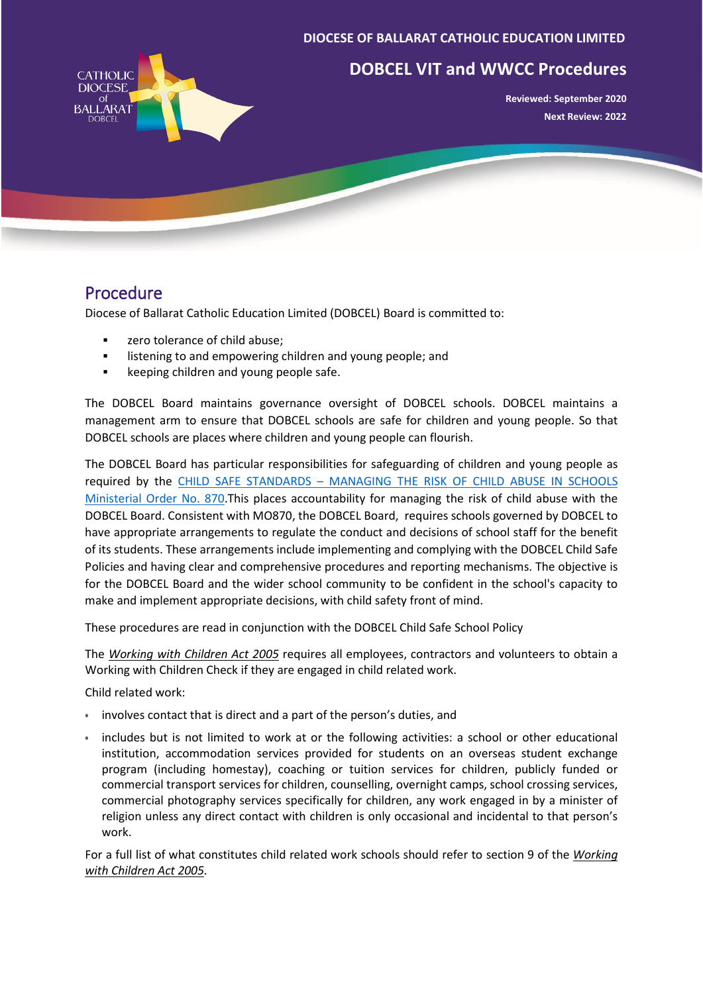### **DIOCESE OF BALLARAT CATHOLIC EDUCATION LIMITED**



# **DOBCEL VIT and WWCC Procedures**

**Reviewed: September 2020 Next Review: 2022**

## Procedure

Diocese of Ballarat Catholic Education Limited (DOBCEL) Board is committed to:

- **EXECUTE:** zero tolerance of child abuse;
- **EXECT** listening to and empowering children and young people; and
- **EXEC** keeping children and young people safe.

The DOBCEL Board maintains governance oversight of DOBCEL schools. DOBCEL maintains a management arm to ensure that DOBCEL schools are safe for children and young people. So that DOBCEL schools are places where children and young people can flourish.

The DOBCEL Board has particular responsibilities for safeguarding of children and young people as required by the CHILD SAFE STANDARDS – [MANAGING THE RISK OF CHILD ABUSE IN SCHOOLS](https://www.vrqa.vic.gov.au/childsafe/pages/documents/Min%20Order%20870%20Child%20Safe%20Standards.pdf)  [Ministerial Order No. 870.](https://www.vrqa.vic.gov.au/childsafe/pages/documents/Min%20Order%20870%20Child%20Safe%20Standards.pdf)This places accountability for managing the risk of child abuse with the DOBCEL Board. Consistent with MO870, the DOBCEL Board, requires schools governed by DOBCEL to have appropriate arrangements to regulate the conduct and decisions of school staff for the benefit of its students. These arrangements include implementing and complying with the DOBCEL Child Safe Policies and having clear and comprehensive procedures and reporting mechanisms. The objective is for the DOBCEL Board and the wider school community to be confident in the school's capacity to make and implement appropriate decisions, with child safety front of mind.

These procedures are read in conjunction with the DOBCEL Child Safe School Policy

The *[Working with Children Act 2005](https://content.legislation.vic.gov.au/sites/default/files/6b120970-bebf-3ef7-b250-c2fd6702fa71_05-57aa063%20authorised.pdf)* requires all employees, contractors and volunteers to obtain a Working with Children Check if they are engaged in child related work.

Child related work:

- involves contact that is direct and a part of the person's duties, and
- includes but is not limited to work at or the following activities: a school or other educational institution, accommodation services provided for students on an overseas student exchange program (including homestay), coaching or tuition services for children, publicly funded or commercial transport services for children, counselling, overnight camps, school crossing services, commercial photography services specifically for children, any work engaged in by a minister of religion unless any direct contact with children is only occasional and incidental to that person's work.

For a full list of what constitutes child related work schools should refer to section 9 of the *[Working](https://content.legislation.vic.gov.au/sites/default/files/6b120970-bebf-3ef7-b250-c2fd6702fa71_05-57aa063%20authorised.pdf)  [with Children Act 2005.](https://content.legislation.vic.gov.au/sites/default/files/6b120970-bebf-3ef7-b250-c2fd6702fa71_05-57aa063%20authorised.pdf)*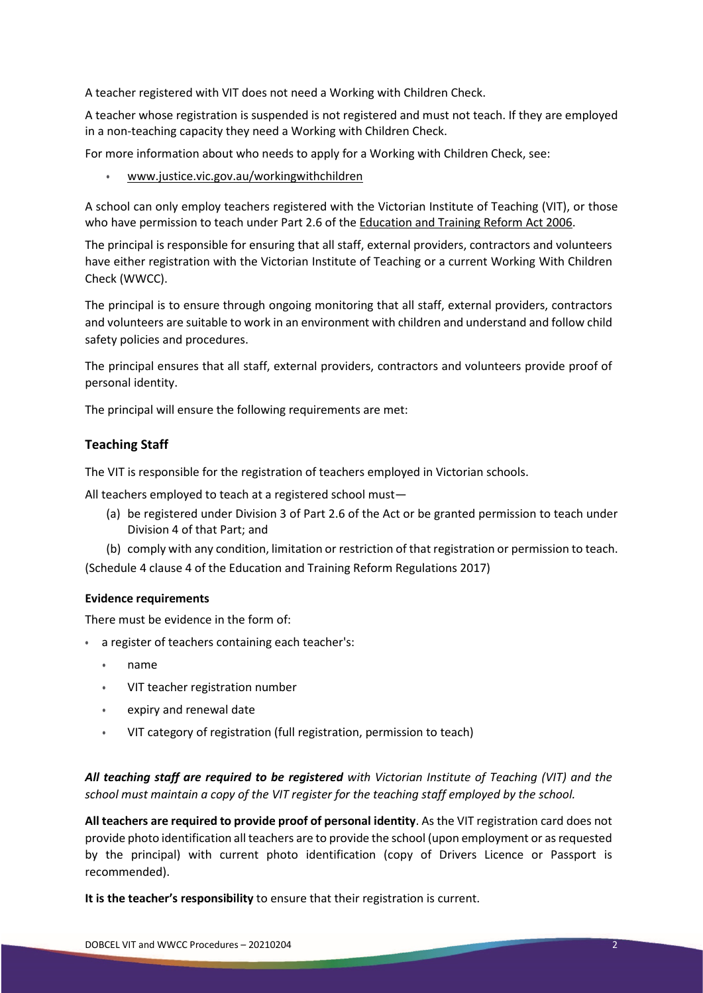A teacher registered with VIT does not need a Working with Children Check.

A teacher whose registration is suspended is not registered and must not teach. If they are employed in a non-teaching capacity they need a Working with Children Check.

For more information about who needs to apply for a Working with Children Check, see:

• [www.justice.vic.gov.au/workingwithchildren](http://www.justice.vic.gov.au/workingwithchildren)

A school can only employ teachers registered with the Victorian Institute of Teaching (VIT), or those who have permission to teach under Part 2.6 of th[e Education and Training Reform Act 2006.](https://content.legislation.vic.gov.au/sites/default/files/2020-05/06-24aa080%20authorised.pdf)

The principal is responsible for ensuring that all staff, external providers, contractors and volunteers have either registration with the Victorian Institute of Teaching or a current Working With Children Check (WWCC).

The principal is to ensure through ongoing monitoring that all staff, external providers, contractors and volunteers are suitable to work in an environment with children and understand and follow child safety policies and procedures.

The principal ensures that all staff, external providers, contractors and volunteers provide proof of personal identity.

The principal will ensure the following requirements are met:

## **Teaching Staff**

The VIT is responsible for the registration of teachers employed in Victorian schools.

All teachers employed to teach at a registered school must—

(a) be registered under Division 3 of Part 2.6 of the Act or be granted permission to teach under Division 4 of that Part; and

(b) comply with any condition, limitation or restriction of that registration or permission to teach.

(Schedule 4 clause 4 of the Education and Training Reform Regulations 2017)

#### **Evidence requirements**

There must be evidence in the form of:

- a register of teachers containing each teacher's:
	- name
	- VIT teacher registration number
	- expiry and renewal date
	- VIT category of registration (full registration, permission to teach)

*All teaching staff are required to be registered with Victorian Institute of Teaching (VIT) and the school must maintain a copy of the VIT register for the teaching staff employed by the school.*

**All teachers are required to provide proof of personal identity**. As the VIT registration card does not provide photo identification all teachers are to provide the school (upon employment or as requested by the principal) with current photo identification (copy of Drivers Licence or Passport is recommended).

**It is the teacher's responsibility** to ensure that their registration is current.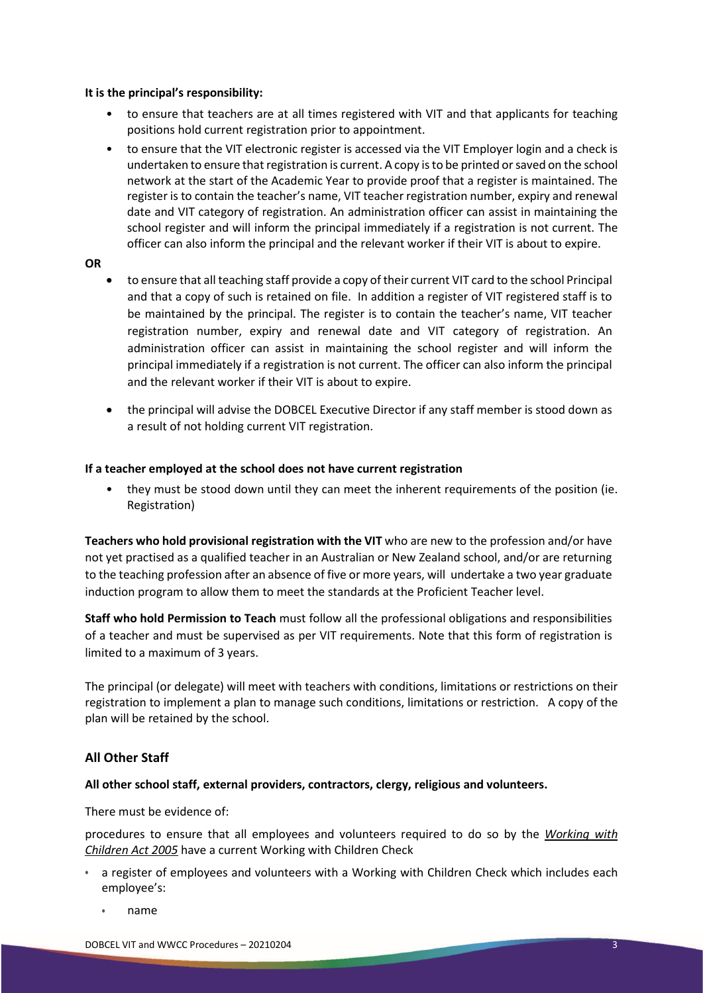#### **It is the principal's responsibility:**

- to ensure that teachers are at all times registered with VIT and that applicants for teaching positions hold current registration prior to appointment.
- to ensure that the VIT electronic register is accessed via the VIT Employer login and a check is undertaken to ensure that registration is current. A copy is to be printed or saved on the school network at the start of the Academic Year to provide proof that a register is maintained. The register is to contain the teacher's name, VIT teacher registration number, expiry and renewal date and VIT category of registration. An administration officer can assist in maintaining the school register and will inform the principal immediately if a registration is not current. The officer can also inform the principal and the relevant worker if their VIT is about to expire.

#### **OR**

- to ensure that all teaching staff provide a copy of their current VIT card to the school Principal and that a copy of such is retained on file. In addition a register of VIT registered staff is to be maintained by the principal. The register is to contain the teacher's name, VIT teacher registration number, expiry and renewal date and VIT category of registration. An administration officer can assist in maintaining the school register and will inform the principal immediately if a registration is not current. The officer can also inform the principal and the relevant worker if their VIT is about to expire.
- the principal will advise the DOBCEL Executive Director if any staff member is stood down as a result of not holding current VIT registration.

#### **If a teacher employed at the school does not have current registration**

• they must be stood down until they can meet the inherent requirements of the position (ie. Registration)

**Teachers who hold provisional registration with the VIT** who are new to the profession and/or have not yet practised as a qualified teacher in an Australian or New Zealand school, and/or are returning to the teaching profession after an absence of five or more years, will undertake a two year graduate induction program to allow them to meet the standards at the Proficient Teacher level.

**Staff who hold Permission to Teach** must follow all the professional obligations and responsibilities of a teacher and must be supervised as per VIT requirements. Note that this form of registration is limited to a maximum of 3 years.

The principal (or delegate) will meet with teachers with conditions, limitations or restrictions on their registration to implement a plan to manage such conditions, limitations or restriction. A copy of the plan will be retained by the school.

## **All Other Staff**

## **All other school staff, external providers, contractors, clergy, religious and volunteers.**

There must be evidence of:

procedures to ensure that all employees and volunteers required to do so by the *[Working with](https://content.legislation.vic.gov.au/sites/default/files/6b120970-bebf-3ef7-b250-c2fd6702fa71_05-57aa063%20authorised.pdf)  [Children Act 2005](https://content.legislation.vic.gov.au/sites/default/files/6b120970-bebf-3ef7-b250-c2fd6702fa71_05-57aa063%20authorised.pdf)* have a current Working with Children Check

- a register of employees and volunteers with a Working with Children Check which includes each employee's:
	- name